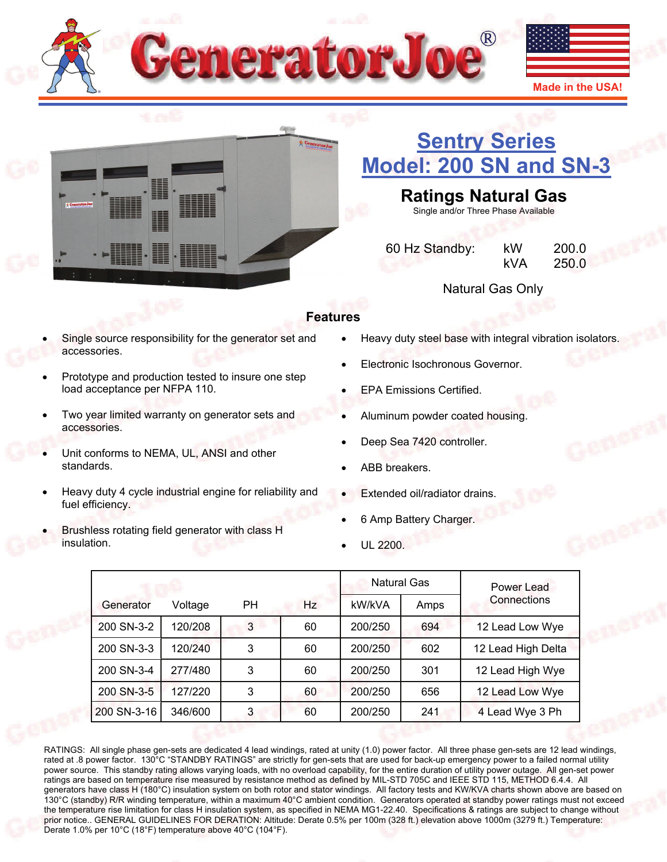



## **[Sentry Series](http://www.generatorjoe.net/product.asp?0=0&1=0&3=4370)  [Model: 200 SN and SN-3](http://www.generatorjoe.net/product.asp?0=0&1=0&3=4370)**

## **Ratings Natural Gas**

Single and/or Three Phase Available

| 60 Hz Standby: | kW  | 200.0 |
|----------------|-----|-------|
|                | kVA | 250.0 |

Natural Gas Only

## **Features**

- Single source responsibility for the generator set and accessories.
- Prototype and production tested to insure one step load acceptance per NFPA 110.
- Two year limited warranty on generator sets and accessories.
- Unit conforms to NEMA, UL, ANSI and other standards.
- Heavy duty 4 cycle industrial engine for reliability and fuel efficiency.
- Brushless rotating field generator with class H insulation.
- Heavy duty steel base with integral vibration isolators.
- Electronic Isochronous Governor.
- EPA Emissions Certified.
- Aluminum powder coated housing.
- Deep Sea 7420 controller.
- ABB breakers.
- Extended oil/radiator drains.
- 6 Amp Battery Charger.
- UL 2200.

|             |         |           |    |         | Natural Gas | Power Lead         |
|-------------|---------|-----------|----|---------|-------------|--------------------|
| Generator   | Voltage | <b>PH</b> | Hz | kW/kVA  | Amps        | Connections        |
| 200 SN-3-2  | 120/208 | 3         | 60 | 200/250 | 694         | 12 Lead Low Wye    |
| 200 SN-3-3  | 120/240 | 3         | 60 | 200/250 | 602         | 12 Lead High Delta |
| 200 SN-3-4  | 277/480 | 3         | 60 | 200/250 | 301         | 12 Lead High Wye   |
| 200 SN-3-5  | 127/220 | 3         | 60 | 200/250 | 656         | 12 Lead Low Wye    |
| 200 SN-3-16 | 346/600 | 3         | 60 | 200/250 | 241         | 4 Lead Wye 3 Ph    |

RATINGS: All single phase gen-sets are dedicated 4 lead windings, rated at unity (1.0) power factor. All three phase gen-sets are 12 lead windings, rated at .8 power factor. 130°C "STANDBY RATINGS" are strictly for gen-sets that are used for back-up emergency power to a failed normal utility power source. This standby rating allows varying loads, with no overload capability, for the entire duration of utility power outage. All gen-set power ratings are based on temperature rise measured by resistance method as defined by MIL-STD 705C and IEEE STD 115, METHOD 6.4.4. All generators have class H (180°C) insulation system on both rotor and stator windings. All factory tests and KW/KVA charts shown above are based on 130°C (standby) R/R winding temperature, within a maximum 40°C ambient condition. Generators operated at standby power ratings must not exceed the temperature rise limitation for class H insulation system, as specified in NEMA MG1-22.40. Specifications & ratings are subject to change without prior notice.. GENERAL GUIDELINES FOR DERATION: Altitude: Derate 0.5% per 100m (328 ft.) elevation above 1000m (3279 ft.) Temperature: Derate 1.0% per 10°C (18°F) temperature above 40°C (104°F).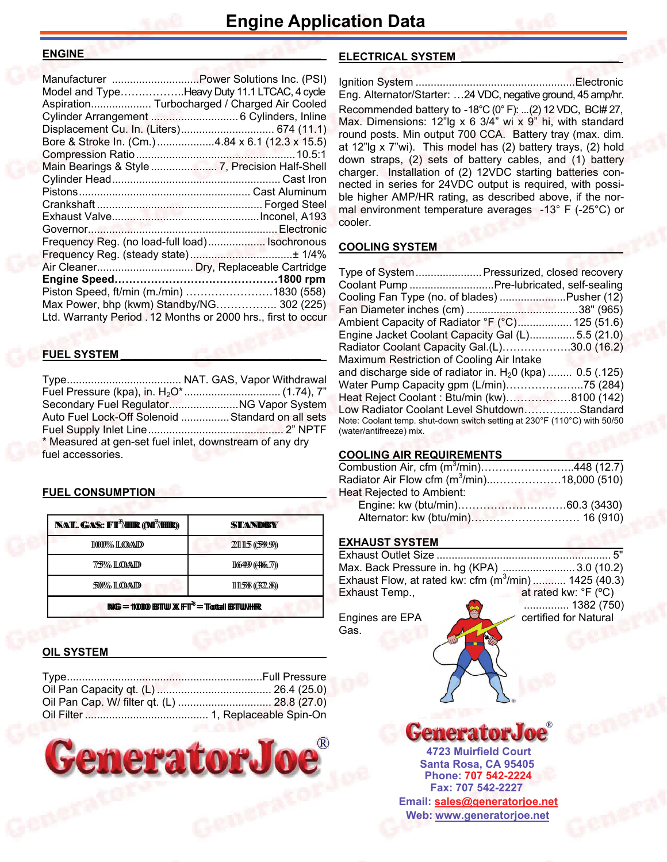#### **ENGINE\_\_\_\_\_\_\_\_\_\_\_\_\_\_\_\_\_\_\_\_\_\_\_\_\_\_\_\_\_\_\_\_\_\_\_\_\_\_\_**

| Manufacturer Power Solutions Inc. (PSI)                       |  |
|---------------------------------------------------------------|--|
| Model and TypeHeavy Duty 11.1 LTCAC, 4 cycle                  |  |
| Aspiration Turbocharged / Charged Air Cooled                  |  |
|                                                               |  |
|                                                               |  |
| Bore & Stroke In. (Cm.) 4.84 x 6.1 (12.3 x 15.5)              |  |
|                                                               |  |
|                                                               |  |
|                                                               |  |
|                                                               |  |
|                                                               |  |
|                                                               |  |
|                                                               |  |
| Frequency Reg. (no load-full load) Isochronous                |  |
|                                                               |  |
|                                                               |  |
|                                                               |  |
| Piston Speed, ft/min (m./min) 1830 (558)                      |  |
| Max Power, bhp (kwm) Standby/NG 302 (225)                     |  |
| Ltd. Warranty Period . 12 Months or 2000 hrs., first to occur |  |
|                                                               |  |

#### **FUEL SYSTEM \_\_\_\_\_\_\_\_\_\_\_\_\_\_\_\_\_\_\_\_\_\_\_\_\_\_\_\_\_\_\_\_\_**

Type ...................................... NAT. GAS, Vapor Withdrawal Fuel Pressure (kpa), in. H<sub>2</sub>O\* ................................ (1.74), 7" Secondary Fuel Regulator ....................... NG Vapor System Auto Fuel Lock-Off Solenoid ................ Standard on all sets Fuel Supply Inlet Line ............................................. 2" NPTF \* Measured at gen-set fuel inlet, downstream of any dry fuel accessories.

### **FUEL CONSUMPTION**

| <b>NAT. GAS: FT3/HR (M3/HR)</b>                  | STANDEY         |  |
|--------------------------------------------------|-----------------|--|
| 11000% ILOAID                                    | 21115(599.9)    |  |
| 7759% ILOAND                                     | 1164499(446.77) |  |
| 50% LOAD<br>11158(32.8)                          |                 |  |
| $NIG = 10000$ BSTTW $X$ $FT^3 = Total$ BSTTW/HHR |                 |  |

### **OIL SYSTEM**



## **ELECTRICAL SYSTEM \_\_\_\_\_\_\_\_\_\_\_\_\_\_\_\_\_\_\_\_\_\_\_\_\_\_**

Ignition System ..................................................... Electronic Eng. Alternator/Starter: …24 VDC, negative ground, 45 amp/hr. Recommended battery to -18°C (0° F): ...(2) 12 VDC, BC# 27, Max. Dimensions: 12"lg x 6 3/4" wi x 9" hi, with standard round posts. Min output 700 CCA. Battery tray (max. dim. at 12"lg x 7"wi). This model has (2) battery trays, (2) hold down straps, (2) sets of battery cables, and (1) battery charger. Installation of (2) 12VDC starting batteries connected in series for 24VDC output is required, with possible higher AMP/HR rating, as described above, if the normal environment temperature averages -13° F (-25°C) or cooler.

## **COOLING SYSTEM**

| Type of System Pressurized, closed recovery                              |  |
|--------------------------------------------------------------------------|--|
| Coolant Pump Pre-lubricated, self-sealing                                |  |
| Cooling Fan Type (no. of blades) Pusher (12)                             |  |
|                                                                          |  |
| Ambient Capacity of Radiator °F (°C) 125 (51.6)                          |  |
| Engine Jacket Coolant Capacity Gal (L)5.5 (21.0)                         |  |
| Radiator Coolant Capacity Gal.(L)30.0 (16.2)                             |  |
| Maximum Restriction of Cooling Air Intake                                |  |
| and discharge side of radiator in. $H20$ (kpa)  0.5 (.125)               |  |
| Water Pump Capacity gpm (L/min)75 (284)                                  |  |
| Heat Reject Coolant: Btu/min (kw)8100 (142)                              |  |
| Low Radiator Coolant Level ShutdownStandard                              |  |
| Note: Coolant temp. shut-down switch setting at 230°F (110°C) with 50/50 |  |
| (water/antifreeze) mix.                                                  |  |

## **COOLING AIR REQUIREMENTS**

| Combustion Air, cfm $(m^3/min)$ 448 (12.7)    |  |
|-----------------------------------------------|--|
| Radiator Air Flow cfm $(m^3/mn)$ 18,000 (510) |  |
| Heat Rejected to Ambient:                     |  |
|                                               |  |
|                                               |  |

### **EXHAUST SYSTEM**

| Max. Back Pressure in. hg (KPA) 3.0 (10.2)            |                                               |
|-------------------------------------------------------|-----------------------------------------------|
| Exhaust Flow, at rated kw: cfm $(m^3/mn)$ 1425 (40.3) |                                               |
| Exhaust Temp.,                                        | at rated kw: ${}^{\circ}$ F ( ${}^{\circ}$ C) |
|                                                       |                                               |

Gas.

 ............... 1382 (750) Engines are EPA certified for Natural

**Santa Rosa, CA 95405 4723 Muirfield Court Fax: 707 542-2227 Phone: 707 542-2224 Web: [www.generatorjoe.net](http://www.generatorjoe.net) Email: [sales@generatorjoe.net](mailto:sales@generatorjoe.net?subject=Your%20products)**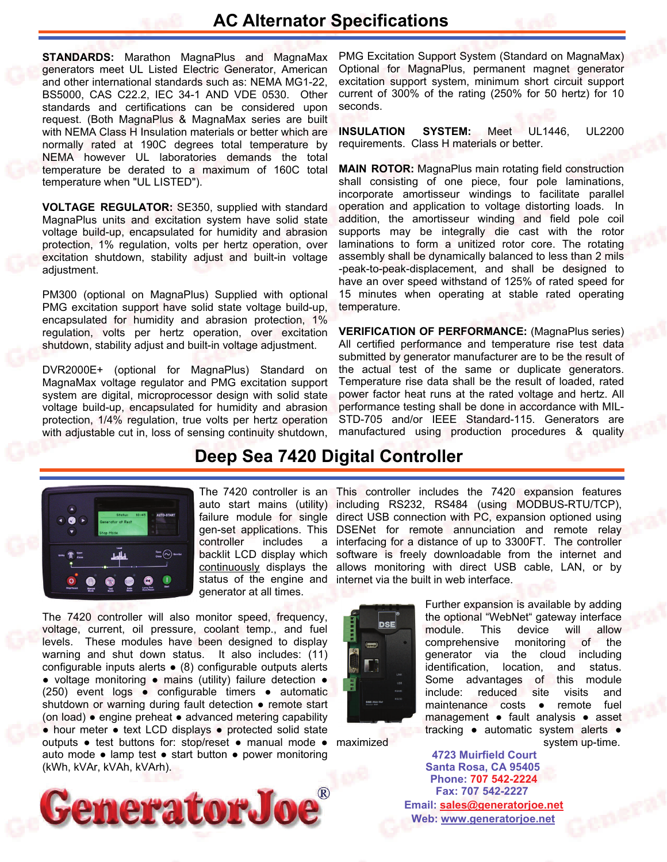## **AC Alternator Specifications**

**STANDARDS:** Marathon MagnaPlus and MagnaMax generators meet UL Listed Electric Generator, American and other international standards such as: NEMA MG1-22, BS5000, CAS C22.2, IEC 34-1 AND VDE 0530. Other standards and certifications can be considered upon request. (Both MagnaPlus & MagnaMax series are built with NEMA Class H Insulation materials or better which are normally rated at 190C degrees total temperature by NEMA however UL laboratories demands the total temperature be derated to a maximum of 160C total temperature when "UL LISTED").

**VOLTAGE REGULATOR:** SE350, supplied with standard MagnaPlus units and excitation system have solid state voltage build-up, encapsulated for humidity and abrasion protection, 1% regulation, volts per hertz operation, over excitation shutdown, stability adjust and built-in voltage adjustment.

PM300 (optional on MagnaPlus) Supplied with optional PMG excitation support have solid state voltage build-up, encapsulated for humidity and abrasion protection, 1% regulation, volts per hertz operation, over excitation shutdown, stability adjust and built-in voltage adjustment.

DVR2000E+ (optional for MagnaPlus) Standard on MagnaMax voltage regulator and PMG excitation support system are digital, microprocessor design with solid state voltage build-up, encapsulated for humidity and abrasion protection, 1/4% regulation, true volts per hertz operation with adjustable cut in, loss of sensing continuity shutdown,

PMG Excitation Support System (Standard on MagnaMax) Optional for MagnaPlus, permanent magnet generator excitation support system, minimum short circuit support current of 300% of the rating (250% for 50 hertz) for 10 seconds.

**INSULATION SYSTEM:** Meet UL1446, UL2200 requirements. Class H materials or better.

**MAIN ROTOR:** MagnaPlus main rotating field construction shall consisting of one piece, four pole laminations, incorporate amortisseur windings to facilitate parallel operation and application to voltage distorting loads. In addition, the amortisseur winding and field pole coil supports may be integrally die cast with the rotor laminations to form a unitized rotor core. The rotating assembly shall be dynamically balanced to less than 2 mils -peak-to-peak-displacement, and shall be designed to have an over speed withstand of 125% of rated speed for 15 minutes when operating at stable rated operating temperature.

**VERIFICATION OF PERFORMANCE:** (MagnaPlus series) All certified performance and temperature rise test data submitted by generator manufacturer are to be the result of the actual test of the same or duplicate generators. Temperature rise data shall be the result of loaded, rated power factor heat runs at the rated voltage and hertz. All performance testing shall be done in accordance with MIL-STD-705 and/or IEEE Standard-115. Generators are manufactured using production procedures & quality

## **Deep Sea 7420 Digital Controller**



controller includes generator at all times.

The 7420 controller will also monitor speed, frequency, voltage, current, oil pressure, coolant temp., and fuel levels. These modules have been designed to display warning and shut down status. It also includes: (11) configurable inputs alerts ● (8) configurable outputs alerts ● voltage monitoring ● mains (utility) failure detection ● (250) event logs ● configurable timers ● automatic shutdown or warning during fault detection · remote start (on load) ● engine preheat ● advanced metering capability ● hour meter ● text LCD displays ● protected solid state outputs • test buttons for: stop/reset • manual mode • maximized auto mode ● lamp test ● start button ● power monitoring (kWh, kVAr, kVAh, kVArh).



The 7420 controller is an This controller includes the 7420 expansion features auto start mains (utility) including RS232, RS484 (using MODBUS-RTU/TCP), failure module for single direct USB connection with PC, expansion optioned using gen-set applications. This DSENet for remote annunciation and remote relay a interfacing for a distance of up to 3300FT. The controller backlit LCD display which software is freely downloadable from the internet and continuously displays the allows monitoring with direct USB cable, LAN, or by status of the engine and internet via the built in web interface.



Further expansion is available by adding the optional "WebNet" gateway interface module. This device will allow comprehensive monitoring of the generator via the cloud including identification, location, and status. Some advantages of this module include: reduced site visits and maintenance costs ● remote fuel management ● fault analysis ● asset tracking ● automatic system alerts ● system up-time.

**Santa Rosa, CA 95405 4723 Muirfield Court Fax: 707 542-2227 Phone: 707 542-2224 Web: [www.generatorjoe.net](http://www.generatorjoe.net)  Email: [sales@generatorjoe.net](mailto:sales@generatorjoe.net?subject=Your%20products)**